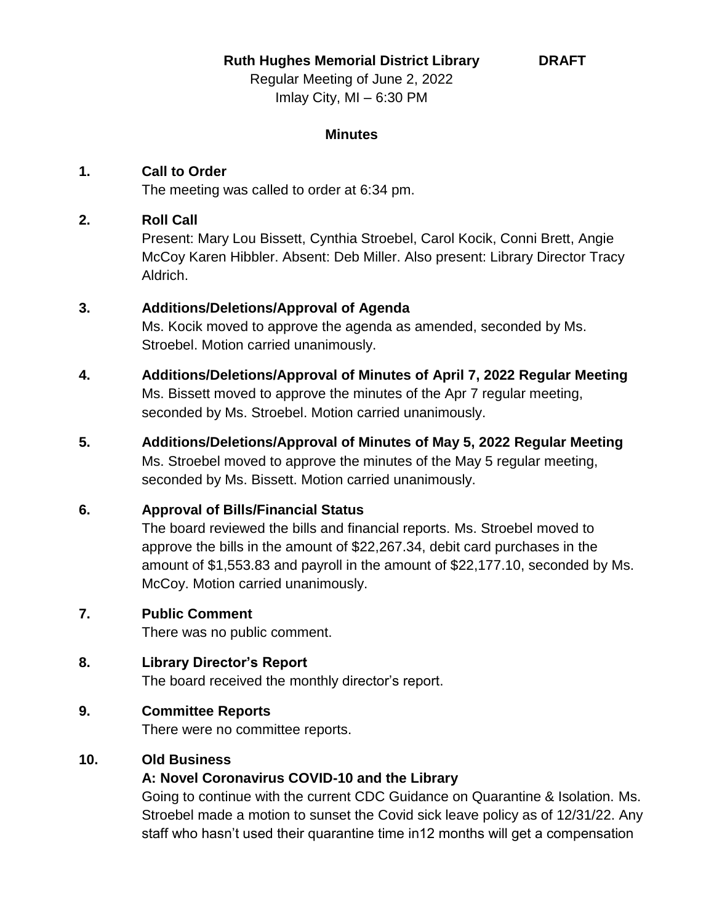**Ruth Hughes Memorial District Library**

**DRAFT**

Regular Meeting of June 2, 2022 Imlay City, MI – 6:30 PM

#### **Minutes**

# **1. Call to Order**

The meeting was called to order at 6:34 pm.

# **2. Roll Call**

Present: Mary Lou Bissett, Cynthia Stroebel, Carol Kocik, Conni Brett, Angie McCoy Karen Hibbler. Absent: Deb Miller. Also present: Library Director Tracy Aldrich.

# **3. Additions/Deletions/Approval of Agenda**

Ms. Kocik moved to approve the agenda as amended, seconded by Ms. Stroebel. Motion carried unanimously.

- **4. Additions/Deletions/Approval of Minutes of April 7, 2022 Regular Meeting** Ms. Bissett moved to approve the minutes of the Apr 7 regular meeting, seconded by Ms. Stroebel. Motion carried unanimously.
- **5. Additions/Deletions/Approval of Minutes of May 5, 2022 Regular Meeting** Ms. Stroebel moved to approve the minutes of the May 5 regular meeting, seconded by Ms. Bissett. Motion carried unanimously.

# **6. Approval of Bills/Financial Status**

The board reviewed the bills and financial reports. Ms. Stroebel moved to approve the bills in the amount of \$22,267.34, debit card purchases in the amount of \$1,553.83 and payroll in the amount of \$22,177.10, seconded by Ms. McCoy. Motion carried unanimously.

# **7. Public Comment**

There was no public comment.

# **8. Library Director's Report**

The board received the monthly director's report.

# **9. Committee Reports**

There were no committee reports.

# **10. Old Business**

# **A: Novel Coronavirus COVID-10 and the Library**

Going to continue with the current CDC Guidance on Quarantine & Isolation. Ms. Stroebel made a motion to sunset the Covid sick leave policy as of 12/31/22. Any staff who hasn't used their quarantine time in12 months will get a compensation